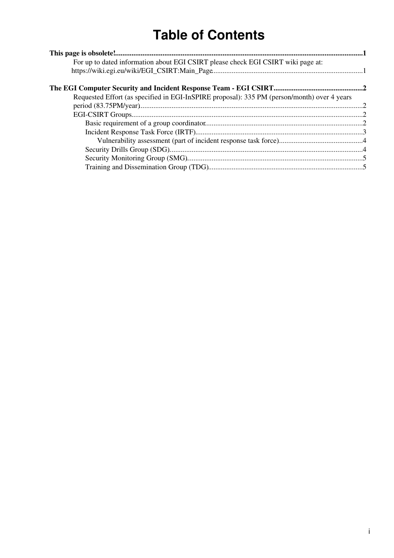# **Table of Contents**

| For up to dated information about EGI CSIRT please check EGI CSIRT wiki page at:            |  |
|---------------------------------------------------------------------------------------------|--|
|                                                                                             |  |
|                                                                                             |  |
| Requested Effort (as specified in EGI-InSPIRE proposal): 335 PM (person/month) over 4 years |  |
|                                                                                             |  |
|                                                                                             |  |
|                                                                                             |  |
|                                                                                             |  |
|                                                                                             |  |
|                                                                                             |  |
|                                                                                             |  |
|                                                                                             |  |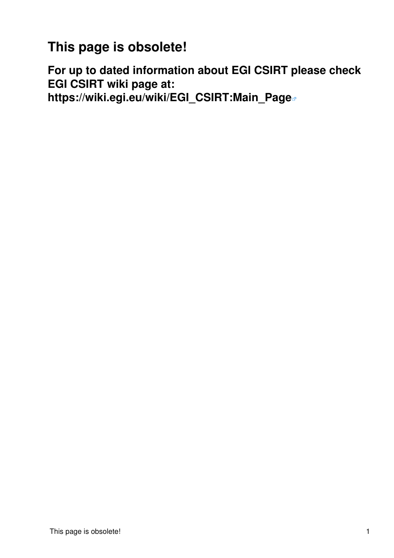<span id="page-1-0"></span>**This page is obsolete!**

<span id="page-1-1"></span>**For up to dated information about EGI CSIRT please check EGI CSIRT wiki page at: [https://wiki.egi.eu/wiki/EGI\\_CSIRT:Main\\_Page](https://wiki.egi.eu/wiki/EGI_CSIRT:Main_Page)**

This page is obsolete! 1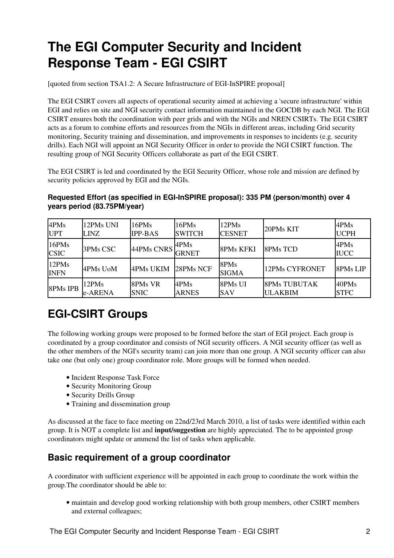# <span id="page-2-0"></span>**The EGI Computer Security and Incident Response Team - EGI CSIRT**

[quoted from section TSA1.2: A Secure Infrastructure of EGI-InSPIRE proposal]

The EGI CSIRT covers all aspects of operational security aimed at achieving a 'secure infrastructure' within EGI and relies on site and NGI security contact information maintained in the GOCDB by each NGI. The EGI CSIRT ensures both the coordination with peer grids and with the NGIs and NREN CSIRTs. The EGI CSIRT acts as a forum to combine efforts and resources from the NGIs in different areas, including Grid security monitoring, Security training and dissemination, and improvements in responses to incidents (e.g. security drills). Each NGI will appoint an NGI Security Officer in order to provide the NGI CSIRT function. The resulting group of NGI Security Officers collaborate as part of the EGI CSIRT.

The EGI CSIRT is led and coordinated by the EGI Security Officer, whose role and mission are defined by security policies approved by EGI and the NGIs.

<span id="page-2-1"></span>**Requested Effort (as specified in EGI-InSPIRE proposal): 335 PM (person/month) over 4 years period (83.75PM/year)**

| 4PMs                 | 12PMs UNI | 16PMs            | $16$ PMs             | 12PMs                | 20PMs KIT           | 4PMs                |
|----------------------|-----------|------------------|----------------------|----------------------|---------------------|---------------------|
| <b>UPT</b>           | LINZ      | <b>IPP-BAS</b>   | <b>SWITCH</b>        | <b>CESNET</b>        |                     | <b>UCPH</b>         |
| 16PMs<br><b>CSIC</b> | 3PMs CSC  | 44PMs CNRS       | 4PMs<br><b>GRNET</b> | <b>8PMs KFKI</b>     | 8PMs TCD            | 4PMs<br><b>IUCC</b> |
| 12PMs<br><b>INFN</b> | 4PMs UoM  | <b>4PMs UKIM</b> | 28PMs NCF            | 8PMs<br><b>SIGMA</b> | 12PMs CYFRONET      | 8PMs LIP            |
| 8PMs IPB             | 12PMs     | 8PMs VR          | 4PMs                 | 8PMs UI              | <b>8PMs TUBUTAK</b> | 40PMs               |
|                      | e-ARENA   | <b>SNIC</b>      | <b>ARNES</b>         | SAV                  | <b>ULAKBIM</b>      | <b>STFC</b>         |

# <span id="page-2-2"></span>**EGI-CSIRT Groups**

The following working groups were proposed to be formed before the start of EGI project. Each group is coordinated by a group coordinator and consists of NGI security officers. A NGI security officer (as well as the other members of the NGI's security team) can join more than one group. A NGI security officer can also take one (but only one) group coordinator role. More groups will be formed when needed.

- Incident Response Task Force
- Security Monitoring Group
- Security Drills Group
- Training and dissemination group

As discussed at the face to face meeting on 22nd/23rd March 2010, a list of tasks were identified within each group. It is NOT a complete list and **input/suggestion** are highly appreciated. The to be appointed group coordinators might update or ammend the list of tasks when applicable.

## <span id="page-2-3"></span>**Basic requirement of a group coordinator**

A coordinator with sufficient experience will be appointed in each group to coordinate the work within the group.The coordinator should be able to:

maintain and develop good working relationship with both group members, other CSIRT members • and external colleagues;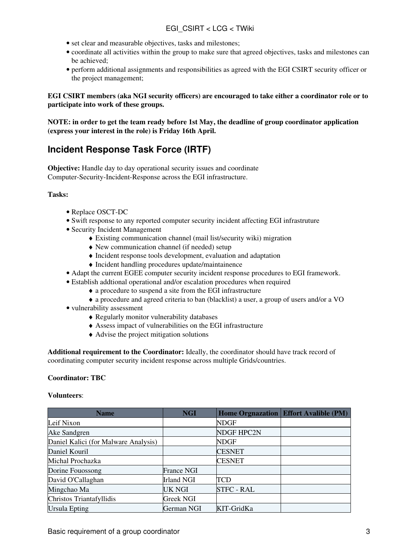- set clear and measurable objectives, tasks and milestones;
- coordinate all activities within the group to make sure that agreed objectives, tasks and milestones can be achieved;
- perform additional assignments and responsibilities as agreed with the EGI CSIRT security officer or the project management;

**EGI CSIRT members (aka NGI security officers) are encouraged to take either a coordinator role or to participate into work of these groups.**

**NOTE: in order to get the team ready before 1st May, the deadline of group coordinator application (express your interest in the role) is Friday 16th April.**

## <span id="page-3-0"></span>**Incident Response Task Force (IRTF)**

**Objective:** Handle day to day operational security issues and coordinate Computer-Security-Incident-Response across the EGI infrastructure.

#### **Tasks:**

- Replace [OSCT](https://twiki.cern.ch/twiki/bin/view/LCG/OSCT)-DC
- Swift response to any reported computer security incident affecting EGI infrastruture
- Security Incident Management
	- ♦ Existing communication channel (mail list/security wiki) migration
	- ♦ New communication channel (if needed) setup
	- ♦ Incident response tools development, evaluation and adaptation
	- ♦ Incident handling procedures update/maintainence
- Adapt the current EGEE computer security incident response procedures to EGI framework.
- Establish addtional operational and/or escalation procedures when required
	- ♦ a procedure to suspend a site from the EGI infrastructure
	- ♦ a procedure and agreed criteria to ban (blacklist) a user, a group of users and/or a VO
- vulnerability assessment
	- ♦ Regularly monitor vulnerability databases
	- ♦ Assess impact of vulnerabilities on the EGI infrastructure
	- ♦ Advise the project mitigation solutions

**Additional requirement to the Coordinator:** Ideally, the coordinator should have track record of coordinating computer security incident response across multiple Grids/countries.

#### **Coordinator: TBC**

#### **Volunteers**:

| <b>Name</b>                          | <b>NGI</b>        |                   | Home Orgnazation   Effort Avalible (PM) |
|--------------------------------------|-------------------|-------------------|-----------------------------------------|
| Leif Nixon                           |                   | <b>NDGF</b>       |                                         |
| Ake Sandgren                         |                   | <b>NDGF HPC2N</b> |                                         |
| Daniel Kalici (for Malware Analysis) |                   | <b>NDGF</b>       |                                         |
| Daniel Kouril                        |                   | <b>CESNET</b>     |                                         |
| Michal Prochazka                     |                   | <b>CESNET</b>     |                                         |
| Dorine Fouossong                     | <b>France NGI</b> |                   |                                         |
| David O'Callaghan                    | <b>Irland NGI</b> | TCD               |                                         |
| Mingchao Ma                          | <b>UK NGI</b>     | <b>STFC - RAL</b> |                                         |
| Christos Triantafyllidis             | <b>Greek NGI</b>  |                   |                                         |
| Ursula Epting                        | German NGI        | KIT-GridKa        |                                         |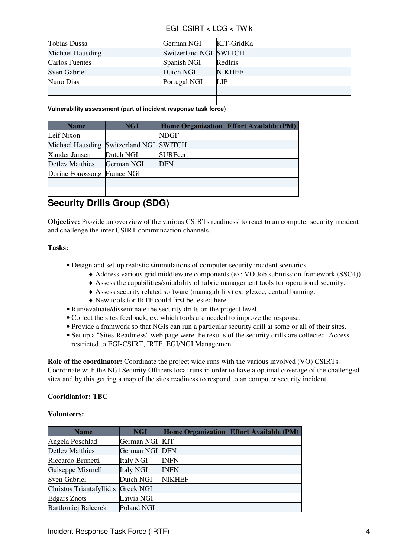#### EGI\_CSIRT < LCG < TWiki

| Tobias Dussa     | German NGI             | KIT-GridKa    |  |
|------------------|------------------------|---------------|--|
| Michael Hausding | Switzerland NGI SWITCH |               |  |
| Carlos Fuentes   | Spanish NGI            | RedIris       |  |
| Sven Gabriel     | Dutch NGI              | <b>NIKHEF</b> |  |
| Nuno Dias        | Portugal NGI           | LIP           |  |
|                  |                        |               |  |
|                  |                        |               |  |

<span id="page-4-0"></span>**Vulnerability assessment (part of incident response task force)**

| <b>Name</b>                      | <b>NGI</b> |                 | Home Organization   Effort Available (PM) |
|----------------------------------|------------|-----------------|-------------------------------------------|
| Leif Nixon                       |            | <b>NDGF</b>     |                                           |
| Michael Hausding Switzerland NGI |            | <b>SWITCH</b>   |                                           |
| Xander Jansen                    | Dutch NGI  | <b>SURFcert</b> |                                           |
| <b>Detley Matthies</b>           | German NGI | <b>DFN</b>      |                                           |
| Dorine Fouossong France NGI      |            |                 |                                           |
|                                  |            |                 |                                           |
|                                  |            |                 |                                           |

# <span id="page-4-1"></span>**Security Drills Group (SDG)**

**Objective:** Provide an overview of the various CSIRTs readiness' to react to an computer security incident and challenge the inter CSIRT communcation channels.

#### **Tasks:**

- Design and set-up realistic simmulations of computer security incident scenarios.
	- ♦ Address various grid middleware components (ex: VO Job submission framework (SSC4))
		- ♦ Assess the capabilities/suitability of fabric management tools for operational security.
	- ♦ Assess security related software (managability) ex: glexec, central banning.
	- ♦ New tools for IRTF could first be tested here.
- Run/evaluate/disseminate the security drills on the project level.
- Collect the sites feedback, ex. which tools are needed to improve the response.
- Provide a framwork so that NGIs can run a particular security drill at some or all of their sites.
- Set up a "Sites-Readiness" web page were the results of the security drills are collected. Access restricted to EGI-CSIRT, IRTF, EGI/NGI Management.

**Role of the coordinator:** Coordinate the project wide runs with the various involved (VO) CSIRTs. Coordinate with the NGI Security Officers local runs in order to have a optimal coverage of the challenged sites and by this getting a map of the sites readiness to respond to an computer security incident.

#### **Cooridiantor: TBC**

#### **Volunteers:**

| <b>Name</b>                | <b>NGI</b>       |               | Home Organization   Effort Available (PM) |
|----------------------------|------------------|---------------|-------------------------------------------|
| Angela Poschlad            | German NGI KIT   |               |                                           |
| <b>Detlev Matthies</b>     | German NGI DFN   |               |                                           |
| Riccardo Brunetti          | <b>Italy NGI</b> | INFN          |                                           |
| Guiseppe Misurelli         | <b>Italy NGI</b> | <b>INFN</b>   |                                           |
| <b>Sven Gabriel</b>        | Dutch NGI        | <b>NIKHEF</b> |                                           |
| Christos Triantafyllidis   | <b>Greek NGI</b> |               |                                           |
| <b>Edgars Znots</b>        | Latvia NGI       |               |                                           |
| <b>Bartlomiej Balcerek</b> | Poland NGI       |               |                                           |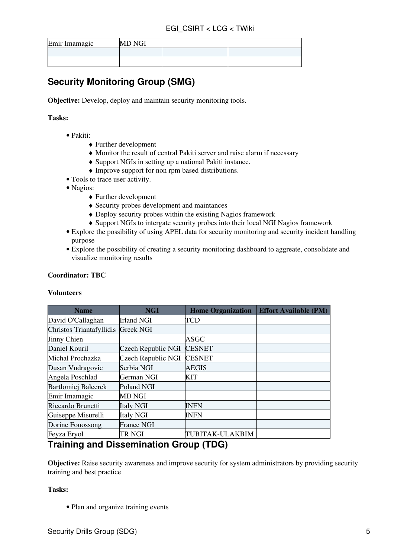| Emir Imamagic | <b>MD NGI</b> |  |
|---------------|---------------|--|
|               |               |  |
|               |               |  |

# <span id="page-5-0"></span>**Security Monitoring Group (SMG)**

**Objective:** Develop, deploy and maintain security monitoring tools.

#### **Tasks:**

- Pakiti:
	- ♦ Further development
	- ♦ Monitor the result of central Pakiti server and raise alarm if necessary
	- ♦ Support NGIs in setting up a national Pakiti instance.
	- ♦ Improve support for non rpm based distributions.
- Tools to trace user activity.
- Nagios:
	- ♦ Further development
	- ♦ Security probes development and maintances
	- ♦ Deploy security probes within the existing Nagios framework
	- ♦ Support NGIs to intergate security probes into their local NGI Nagios framework
- Explore the possibility of using APEL data for security monitoring and security incident handling purpose
- Explore the possibility of creating a security monitoring dashboard to aggreate, consolidate and visualize monitoring results

#### **Coordinator: TBC**

#### **Volunteers**

| <b>Name</b>                | <b>NGI</b>         | <b>Home Organization</b> | <b>Effort Available (PM)</b> |
|----------------------------|--------------------|--------------------------|------------------------------|
| David O'Callaghan          | <b>Irland NGI</b>  | TCD                      |                              |
| Christos Triantafyllidis   | <b>Greek NGI</b>   |                          |                              |
| <b>Jinny Chien</b>         |                    | ASGC                     |                              |
| Daniel Kouril              | Czech Republic NGI | <b>CESNET</b>            |                              |
| Michal Prochazka           | Czech Republic NGI | <b>CESNET</b>            |                              |
| Dusan Vudragovic           | Serbia NGI         | <b>AEGIS</b>             |                              |
| Angela Poschlad            | German NGI         | <b>KIT</b>               |                              |
| <b>Bartlomiej Balcerek</b> | Poland NGI         |                          |                              |
| Emir Imamagic              | MD NGI             |                          |                              |
| Riccardo Brunetti          | <b>Italy NGI</b>   | INFN                     |                              |
| Guiseppe Misurelli         | <b>Italy NGI</b>   | <b>INFN</b>              |                              |
| Dorine Fouossong           | <b>France NGI</b>  |                          |                              |
| Feyza Eryol                | TR NGI             | TUBITAK-ULAKBIM          |                              |

### <span id="page-5-1"></span>**Training and Dissemination Group (TDG)**

**Objective:** Raise security awareness and improve security for system administrators by providing security training and best practice

#### **Tasks:**

• Plan and organize training events